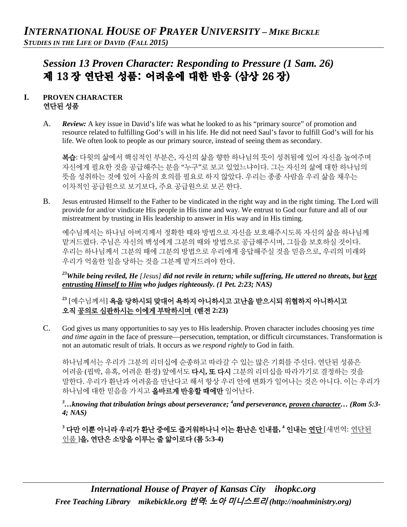# *Session 13 Proven Character: Responding to Pressure (1 Sam. 26)*  제 13 장 연단된 성품: 어려움에 대한 반응 (삼상 26 장)

# **I. PROVEN CHARACTER** 연단된 성품

A. *Review:* A key issue in David's life was what he looked to as his "primary source" of promotion and resource related to fulfilling God's will in his life. He did not need Saul's favor to fulfill God's will for his life. We often look to people as our primary source, instead of seeing them as secondary.

복습: 다윗의 삶에서 핵심적인 부분은, 자신의 삶을 향한 하나님의 뜻이 성취됨에 있어 자신을 높여주며 자신에게 필요한 것을 공급해주는 분을 "누구"로 보고 있었느냐이다. 그는 자신의 삶에 대한 하나님의 뜻을 성취하는 것에 있어 사울의 호의를 필요로 하지 않았다. 우리는 종종 사람을 우리 삶을 채우는 이차적인 공급원으로 보기보다, 주요 공급원으로 보곤 한다.

B. Jesus entrusted Himself to the Father to be vindicated in the right way and in the right timing. The Lord will provide for and/or vindicate His people in His time and way. We entrust to God our future and all of our mistreatment by trusting in His leadership to answer in His way and in His timing.

예수님께서는 하나님 아버지께서 정확한 때와 방법으로 자신을 보호해주시도록 자신의 삶을 하나님께 맡겨드렸다. 주님은 자신의 백성에게 그분의 때와 방법으로 공급해주시며, 그들을 보호하실 것이다. 우리는 하나님께서 그분의 때에 그분의 방법으로 우리에게 응답해주실 것을 믿음으로, 우리의 미래와 우리가 억울한 일을 당하는 것을 그분께 맡겨드려야 한다.

*23While being reviled, He [Jesus] did not revile in return; while suffering, He uttered no threats, but kept entrusting Himself to Him who judges righteously. (1 Pet. 2:23; NAS)* 

**<sup>23</sup>** [예수님께서] 욕을 당하시되 맞대어 욕하지 아니하시고 고난을 받으시되 위협하지 아니하시고 오직 공의로 심판하시는 이에게 부탁하시며 **(**벧전 **2:23)**

C. God gives us many opportunities to say yes to His leadership. Proven character includes choosing yes *time and time again* in the face of pressure—persecution, temptation, or difficult circumstances. Transformation is not an automatic result of trials. It occurs as we *respond rightly* to God in faith.

하나님께서는 우리가 그분의 리더십에 순종하고 따라갈 수 있는 많은 기회를 주신다. 연단된 성품은 어려움 (핍박, 유혹, 어려운 환경) 앞에서도 다시**,** 또 다시 그분의 리더십을 따라가기로 결정하는 것을 말한다. 우리가 환난과 어려움을 만난다고 해서 항상 우리 안에 변화가 일어나는 것은 아니다. 이는 우리가 하나님에 대한 믿음을 가지고 올바르게 반응할 때에만 일어난다.

*3 …knowing that tribulation brings about perseverance; 4 and perseverance, proven character… (Rom 5:3- 4; NAS)*

**<sup>3</sup>** 다만 이뿐 아니라 우리가 환난 중에도 즐거워하나니 이는 환난은 인내를**, 4** 인내는 연단 [새번역: 연단된 인품 ]을**,** 연단은 소망을 이루는 줄 앎이로다 **(**롬 **5:3-4)**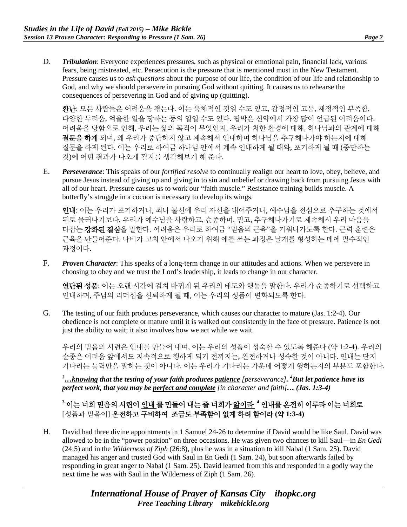D. *Tribulation*: Everyone experiences pressures, such as physical or emotional pain, financial lack, various fears, being mistreated, etc. Persecution is the pressure that is mentioned most in the New Testament. Pressure causes us to *ask questions* about the purpose of our life, the condition of our life and relationship to God, and why we should persevere in pursuing God without quitting. It causes us to rehearse the consequences of persevering in God and of giving up (quitting).

환난: 모든 사람들은 어려움을 겪는다. 이는 육체적인 것일 수도 있고, 감정적인 고통, 재정적인 부족함, 다양한 두려움, 억울한 일을 당하는 등의 일일 수도 있다. 핍박은 신약에서 가장 많이 언급된 어려움이다. 어려움을 당함으로 인해, 우리는 삶의 목적이 무엇인지, 우리가 처한 환경에 대해, 하나님과의 관계에 대해 질문을 하게 되며, 왜 우리가 중단하지 않고 계속해서 인내하며 하나님을 추구해나가야 하는지에 대해 질문을 하게 된다. 이는 우리로 하여금 하나님 안에서 계속 인내하게 될 때와, 포기하게 될 때 (중단하는 것)에 어떤 결과가 나오게 될지를 생각해보게 해 준다.

E. *Perseverance*: This speaks of our *fortified resolve* to continually realign our heart to love, obey, believe, and pursue Jesus instead of giving up and giving in to sin and unbelief or drawing back from pursuing Jesus with all of our heart. Pressure causes us to work our "faith muscle." Resistance training builds muscle. A butterfly's struggle in a cocoon is necessary to develop its wings.

인내: 이는 우리가 포기하거나, 죄나 불신에 우리 자신을 내어주거나, 예수님을 전심으로 추구하는 것에서 뒤로 물러나기보다, 우리가 예수님을 사랑하고, 순종하며, 믿고, 추구해나가기로 계속해서 우리 마음을 다잡는 **강화된 결심**을 말한다. 어려움은 우리로 하여금 "믿음의 근육"을 키워나가도록 한다. 근력 훈련은 근육을 만들어준다. 나비가 고치 안에서 나오기 위해 애를 쓰는 과정은 날개를 형성하는 데에 필수적인 과정이다.

F. *Proven Character*: This speaks of a long-term change in our attitudes and actions. When we persevere in choosing to obey and we trust the Lord's leadership, it leads to change in our character.

연단된 성품: 이는 오랜 시간에 걸쳐 바뀌게 된 우리의 태도와 행동을 말한다. 우리가 순종하기로 선택하고 인내하며, 주님의 리더십을 신뢰하게 될 때, 이는 우리의 성품이 변화되도록 한다.

G. The testing of our faith produces perseverance, which causes our character to mature (Jas. 1:2-4). Our obedience is not complete or mature until it is walked out consistently in the face of pressure. Patience is not just the ability to wait; it also involves how we act while we wait.

우리의 믿음의 시련은 인내를 만들어 내며, 이는 우리의 성품이 성숙할 수 있도록 해준다 (약 1:2-4). 우리의 순종은 어려움 앞에서도 지속적으로 행하게 되기 전까지는, 완전하거나 성숙한 것이 아니다. 인내는 단지 기다리는 능력만을 말하는 것이 아니다. 이는 우리가 기다리는 가운데 어떻게 행하는지의 부분도 포함한다.

*3 …knowing that the testing of your faith produces patience [perseverance]. 4 But let patience have its perfect work, that you may be perfect and complete [in character and faith]… (Jas. 1:3-4)*

**<sup>3</sup>** 이는 너희 믿음의 시련이 인내 를 만들어 내는 줄 너희가 앎이라 **<sup>4</sup>** 인내를 온전히 이루라 이는 너희로 [성품과 믿음이] 온전하고 구비하여 조금도 부족함이 없게 하려 함이라 **(**약 **1:3-4)**

H. David had three divine appointments in 1 Samuel 24-26 to determine if David would be like Saul. David was allowed to be in the "power position" on three occasions. He was given two chances to kill Saul—in *En Gedi* (24:5) and in the *Wilderness of Ziph* (26:8), plus he was in a situation to kill Nabal (1 Sam. 25). David managed his anger and trusted God with Saul in En Gedi (1 Sam. 24), but soon afterwards failed by responding in great anger to Nabal (1 Sam. 25). David learned from this and responded in a godly way the next time he was with Saul in the Wilderness of Ziph (1 Sam. 26).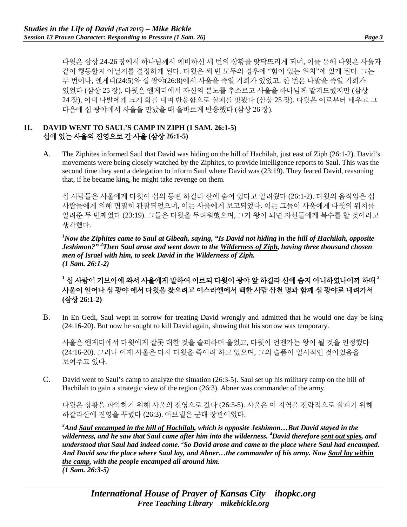다윗은 삼상 24-26 장에서 하나님께서 예비하신 세 번의 상황을 맞닥뜨리게 되며, 이를 통해 다윗은 사울과 같이 행동할지 아닐지를 결정하게 된다. 다윗은 세 번 모두의 경우에 "힘이 있는 위치"에 있게 된다. 그는 두 번이나, 엔게디(24:5)와 십 광야(26:8)에서 사울을 죽일 기회가 있었고, 한 번은 나발을 죽일 기회가 있었다 (삼상 25 장). 다윗은 엔게디에서 자신의 분노를 추스르고 사울을 하나님께 맡겨드렸지만 (삼상 24 장), 이내 나발에게 크게 화를 내며 반응함으로 실패를 맛봤다 (삼상 25 장). 다윗은 이로부터 배우고 그 다음에 십 광야에서 사울을 만났을 때 올바르게 반응했다 (삼상 26 장).

### **II. DAVID WENT TO SAUL'S CAMP IN ZIPH (1 SAM. 26:1-5)**  십에 있는 사울의 진영으로 간 사울 **(**삼상 **26:1-5)**

A. The Ziphites informed Saul that David was hiding on the hill of Hachilah, just east of Ziph (26:1-2). David's movements were being closely watched by the Ziphites, to provide intelligence reports to Saul. This was the second time they sent a delegation to inform Saul where David was (23:19). They feared David, reasoning that, if he became king, he might take revenge on them.

십 사람들은 사울에게 다윗이 십의 동편 하길라 산에 숨어 있다고 알려줬다 (26:1-2). 다윗의 움직임은 십 사람들에게 의해 면밀히 관찰되었으며, 이는 사울에게 보고되었다. 이는 그들이 사울에게 다윗의 위치를 알려준 두 번째였다 (23:19). 그들은 다윗을 두려워했으며, 그가 왕이 되면 자신들에게 복수를 할 것이라고 생각했다.

*1 Now the Ziphites came to Saul at Gibeah, saying, "Is David not hiding in the hill of Hachilah, opposite Jeshimon?" 2 Then Saul arose and went down to the Wilderness of Ziph, having three thousand chosen men of Israel with him, to seek David in the Wilderness of Ziph. (1 Sam. 26:1-2)*

# **<sup>1</sup>** 십 사람이 기브아에 와서 사울에게 말하여 이르되 다윗이 광야 앞 하길라 산에 숨지 아니하였나이까 하매 **<sup>2</sup>** 사울이 일어나 십 광야 에서 다윗을 찾으려고 이스라엘에서 택한 사람 삼천 명과 함께 십 광야로 내려가서 **(**삼상 **26:1-2)**

B. In En Gedi, Saul wept in sorrow for treating David wrongly and admitted that he would one day be king (24:16-20). But now he sought to kill David again, showing that his sorrow was temporary.

사울은 엔게디에서 다윗에게 잘못 대한 것을 슬퍼하며 울었고, 다윗이 언젠가는 왕이 될 것을 인정했다 (24:16-20). 그러나 이제 사울은 다시 다윗을 죽이려 하고 있으며, 그의 슬픔이 일시적인 것이었음을 보여주고 있다.

C. David went to Saul's camp to analyze the situation (26:3-5). Saul set up his military camp on the hill of Hachilah to gain a strategic view of the region (26:3). Abner was commander of the army.

다윗은 상황을 파악하기 위해 사울의 진영으로 갔다 (26:3-5). 사울은 이 지역을 전략적으로 살피기 위해 하갈라산에 진영을 꾸렸다 (26:3). 아브넬은 군대 장관이었다.

*3 And Saul encamped in the hill of Hachilah, which is opposite Jeshimon…But David stayed in the wilderness, and he saw that Saul came after him into the wilderness. 4 David therefore sent out spies, and understood that Saul had indeed come. 5 So David arose and came to the place where Saul had encamped. And David saw the place where Saul lay, and Abner…the commander of his army. Now Saul lay within the camp, with the people encamped all around him. (1 Sam. 26:3-5)*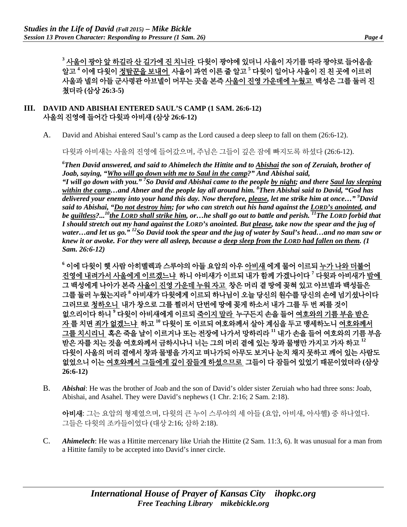<sup>3</sup> <u>사울이 광야 앞 하길라 산 길가에 진 치니라</u> 다윗이 광야에 있더니 사울이 자기를 따라 광야로 들어옴을 알고 **<sup>4</sup>** 이에 다윗이 정탐꾼을 보내어 사울이 과연 이른 줄 알고 **<sup>5</sup>** 다윗이 일어나 사울이 진 친 곳에 이르러 사울과 넬의 아들 군사령관 아브넬이 머무는 곳을 본즉 사울이 진영 가운데에 누웠고 백성은 그를 둘러 진 쳤더라 **(**삼상 **26:3-5)**

#### **III. DAVID AND ABISHAI ENTERED SAUL'S CAMP (1 SAM. 26:6-12)** 사울의 진영에 들어간 다윗과 아비새 **(**삼상 **26:6-12)**

A. David and Abishai entered Saul's camp as the Lord caused a deep sleep to fall on them (26:6-12).

다윗과 아비새는 사울의 진영에 들어갔으며, 주님은 그들이 깊은 잠에 빠지도록 하셨다 (26:6-12).

*6 Then David answered, and said to Ahimelech the Hittite and to Abishai the son of Zeruiah, brother of Joab, saying, "Who will go down with me to Saul in the camp?" And Abishai said,* 

*"I will go down with you." 7 So David and Abishai came to the people by night; and there Saul lay sleeping within the camp…and Abner and the people lay all around him. 8 Then Abishai said to David, "God has delivered your enemy into your hand this day. Now therefore, please, let me strike him at once…" 9 David said to Abishai, "Do not destroy him; for who can stretch out his hand against the LORD's anointed, and be guiltless?...10the LORD shall strike him, or…he shall go out to battle and perish. 11The LORD forbid that I should stretch out my hand against the LORD's anointed. But please, take now the spear and the jug of water…and let us go." 12So David took the spear and the jug of water by Saul's head…and no man saw or knew it or awoke. For they were all asleep, because a deep sleep from the LORD had fallen on them. (1 Sam. 26:6-12)*

**<sup>6</sup>** 이에 다윗이 헷 사람 아히멜렉과 스루야의 아들 요압의 아우 아비새 에게 물어 이르되 누가 나와 더불어 진영에 내려가서 사울에게 이르겠느냐 하니 아비새가 이르되 내가 함께 가겠나이다 **<sup>7</sup>** 다윗과 아비새가 밤에 그 백성에게 나아가 본즉 사울이 진영 가운데 누워 자고 창은 머리 곁 땅에 꽂혀 있고 아브넬과 백성들은 그를 둘러 누웠는지라 **<sup>8</sup>** 아비새가 다윗에게 이르되 하나님이 오늘 당신의 원수를 당신의 손에 넘기셨나이다 그러므로 청하오니 내가 창으로 그를 찔러서 단번에 땅에 꽂게 하소서 내가 그를 두 번 찌를 것이 없으리이다 하니 **<sup>9</sup>** 다윗이 아비새에게 이르되 죽이지 말라 누구든지 손을 들어 여호와의 기름 부음 받은 자 를 치면 죄가 없겠느냐 하고 **<sup>10</sup>** 다윗이 또 이르되 여호와께서 살아 계심을 두고 맹세하노니 여호와께서 그를 치시리니 혹은 죽을 날이 이르거나 또는 전장에 나가서 망하리라 **<sup>11</sup>** 내가 손을 들어 여호와의 기름 부음 받은 자를 치는 것을 여호와께서 금하시나니 너는 그의 머리 곁에 있는 창과 물병만 가지고 가자 하고 **<sup>12</sup>** 다윗이 사울의 머리 곁에서 창과 물병을 가지고 떠나가되 아무도 보거나 눈치 채지 못하고 깨어 있는 사람도 없었으니 이는 여호와께서 그들에게 깊이 잠들게 하셨으므로 그들이 다 잠들어 있었기 때문이었더라 **(**삼상 **26:6-12)**

B. *Abishai*: He was the brother of Joab and the son of David's older sister Zeruiah who had three sons: Joab, Abishai, and Asahel. They were David's nephews (1 Chr. 2:16; 2 Sam. 2:18).

아비새: 그는 요압의 형제였으며, 다윗의 큰 누이 스루야의 세 아들 (요압, 아비새, 아사헬) 중 하나였다. 그들은 다윗의 조카들이었다 (대상 2:16; 삼하 2:18).

C. *Ahimelech*: He was a Hittite mercenary like Uriah the Hittite (2 Sam. 11:3, 6). It was unusual for a man from a Hittite family to be accepted into David's inner circle.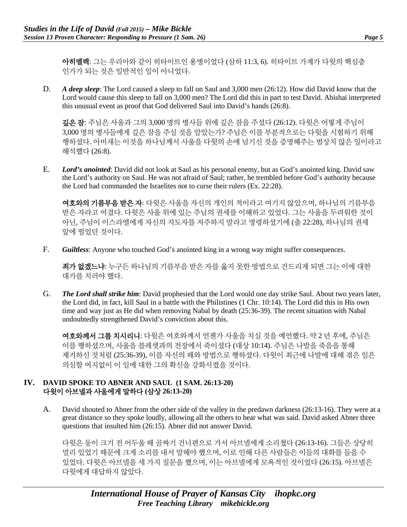아히멜렉: 그는 우리아와 같이 히타이트인 용병이었다 (삼하 11:3, 6). 히타이트 가계가 다윗의 핵심층 인가가 되는 것은 일반적인 일이 아니었다.

D. *A deep sleep*: The Lord caused a sleep to fall on Saul and 3,000 men (26:12). How did David know that the Lord would cause this sleep to fall on 3,000 men? The Lord did this in part to test David. Abishai interpreted this unusual event as proof that God delivered Saul into David's hands (26:8).

깊은 잠: 주님은 사울과 그의 3,000 명의 병사들 위에 깊은 잠을 주셨다 (26:12). 다윗은 어떻게 주님이 3,000 명의 병사들에게 깊은 잠을 주실 것을 알았는가? 주님은 이를 부분적으로는 다윗을 시험하기 위해 행하셨다. 아비새는 이것을 하나님께서 사울을 다윗의 손에 넘기신 것을 증명해주는 범상치 않은 일이라고 해석했다 (26:8).

E. *Lord's anointed*: David did not look at Saul as his personal enemy, but as God's anointed king. David saw the Lord's authority on Saul. He was not afraid of Saul; rather, he trembled before God's authority because the Lord had commanded the Israelites not to curse their rulers (Ex. 22:28).

여호와의 기름부음 받은 자: 다윗은 사울을 자신의 개인의 적이라고 여기지 않았으며, 하나님의 기름부음 받은 자라고 여겼다. 다윗은 사울 위에 있는 주님의 권세를 이해하고 있었다. 그는 사울을 두려워한 것이 아닌, 주님이 이스라엘에게 자신의 지도자를 저주하지 말라고 명령하셨기에 (출 22:28), 하나님의 권세 앞에 떨었던 것이다.

F. *Guiltless*: Anyone who touched God's anointed king in a wrong way might suffer consequences.

죄가 없겠느냐: 누구든 하나님의 기름부음 받은 자를 옳지 못한 방법으로 건드리게 되면 그는 이에 대한 대가를 치러야 했다.

G. *The Lord shall strike him*: David prophesied that the Lord would one day strike Saul. About two years later, the Lord did, in fact, kill Saul in a battle with the Philistines (1 Chr. 10:14). The Lord did this in His own time and way just as He did when removing Nabal by death (25:36-39). The recent situation with Nabal undoubtedly strengthened David's conviction about this.

여호와께서 그를 치시리니: 다윗은 여호와께서 언젠가 사울을 치실 것을 예언했다. 약 2 년 후에, 주님은 이를 행하셨으며, 사울을 블레셋과의 전장에서 죽이셨다 (대상 10:14). 주님은 나발을 죽음을 통해 제거하신 것처럼 (25:36-39), 이를 자신의 때와 방법으로 행하셨다. 다윗이 최근에 나발에 대해 겪은 일은 의심할 여지없이 이 일에 대한 그의 확신을 강화시켰을 것이다.

## **IV. DAVID SPOKE TO ABNER AND SAUL (1 SAM. 26:13-20)**  다윗이 아브넬과 사울에게 말하다 **(**삼상 **26:13-20)**

A. David shouted to Abner from the other side of the valley in the predawn darkness (26:13-16). They were at a great distance so they spoke loudly, allowing all the others to hear what was said. David asked Abner three questions that insulted him (26:15). Abner did not answer David.

다윗은 동이 크기 전 어두울 때 골짜기 건너편으로 가서 아브넬에게 소리쳤다 (26:13-16). 그들은 상당히 멀리 있었기 때문에 크게 소리를 내서 말해야 했으며, 이로 인해 다른 사람들은 이들의 대화를 들을 수 있었다. 다윗은 아브넬을 세 가지 질문을 했으며, 이는 아브넬에게 모욕적인 것이었다 (26:15). 아브넬은 다윗에게 대답하지 않았다.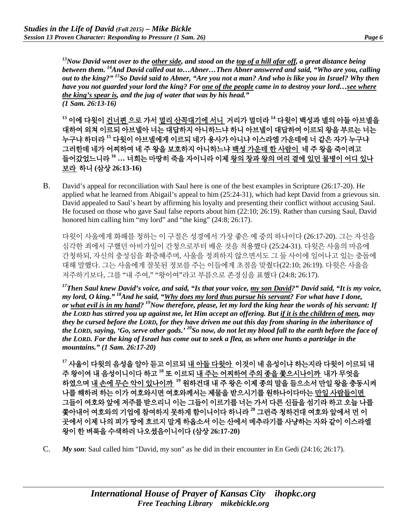*13Now David went over to the other side, and stood on the top of a hill afar off, a great distance being between them. 14And David called out to…Abner…Then Abner answered and said, "Who are you, calling out to the king?" 15So David said to Abner, "Are you not a man? And who is like you in Israel? Why then have you not guarded your lord the king? For one of the people came in to destroy your lord…see where the king's spear is, and the jug of water that was by his head." (1 Sam. 26:13-16)*

**<sup>13</sup>** 이에 다윗이 건너편 으로 가서 멀리 산꼭대기에 서니 거리가 멀더라 **<sup>14</sup>** 다윗이 백성과 넬의 아들 아브넬을 대하여 외쳐 이르되 아브넬아 너는 대답하지 아니하느냐 하니 아브넬이 대답하여 이르되 왕을 부르는 너는 누구냐 하더라 **<sup>15</sup>** 다윗이 아브넬에게 이르되 네가 용사가 아니냐 이스라엘 가운데에 너 같은 자가 누구냐 그러한데 네가 어찌하여 네 주 왕을 보호하지 아니하느냐 백성 가운데 한 사람이 네 주 왕을 죽이려고 들어갔었느니라 **<sup>16</sup> …** 너희는 마땅히 죽을 자이니라 이제 왕의 창과 왕의 머리 곁에 있던 물병이 어디 있나 보라 하니 **(**삼상 **26:13-16)**

B. David's appeal for reconciliation with Saul here is one of the best examples in Scripture (26:17-20). He applied what he learned from Abigail's appeal to him (25:24-31), which had kept David from a grievous sin. David appealed to Saul's heart by affirming his loyalty and presenting their conflict without accusing Saul. He focused on those who gave Saul false reports about him (22:10; 26:19). Rather than cursing Saul, David honored him calling him "my lord" and "the king" (24:8; 26:17).

다윗이 사울에게 화해를 청하는 이 구절은 성경에서 가장 좋은 예 중의 하나이다 (26:17-20). 그는 자신을 심각한 죄에서 구했던 아비가일이 간청으로부터 배운 것을 적용했다 (25:24-31). 다윗은 사울의 마음에 간청하되, 자신의 충성심을 확증해주며, 사울을 정죄하지 않으면서도 그 둘 사이에 일어나고 있는 충돌에 대해 말했다. 그는 사울에게 잘못된 정보를 주는 이들에게 초점을 맞췄다(22:10; 26:19). 다윗은 사울을 저주하기보다, 그를 "내 주여," "왕이여"라고 부름으로 존경심을 표했다 (24:8; 26:17).

*17Then Saul knew David's voice, and said, "Is that your voice, my son David?" David said, "It is my voice, my lord, O king." 18And he said, "Why does my lord thus pursue his servant? For what have I done, or what evil is in my hand? 19Now therefore, please, let my lord the king hear the words of his servant: If the LORD has stirred you up against me, let Him accept an offering. But if it is the children of men, may they be cursed before the LORD, for they have driven me out this day from sharing in the inheritance of the LORD, saying, 'Go, serve other gods.' 20So now, do not let my blood fall to the earth before the face of the LORD. For the king of Israel has come out to seek a flea, as when one hunts a partridge in the mountains." (1 Sam. 26:17-20)*

**<sup>17</sup>** 사울이 다윗의 음성을 알아 듣고 이르되 내 아들 다윗아 이것이 네 음성이냐 하는지라 다윗이 이르되 내 주 왕이여 내 음성이니이다 하고 **<sup>18</sup>** 또 이르되 내 주는 어찌하여 주의 종을 쫓으시나이까 내가 무엇을 하였으며 내 손에 무슨 악이 있나이까 **<sup>19</sup>** 원하건대 내 주 왕은 이제 종의 말을 들으소서 만일 왕을 충동시켜 나를 해하려 하는 이가 여호와시면 여호와께서는 제물을 받으시기를 원하나이다마는 만일 사람들이면 그들이 여호와 앞에 저주를 받으리니 이는 그들이 이르기를 너는 가서 다른 신들을 섬기라 하고 오늘 나를 쫓아내어 여호와의 기업에 참여하지 못하게 함이니이다 하니라 **<sup>20</sup>** 그런즉 청하건대 여호와 앞에서 먼 이 곳에서 이제 나의 피가 땅에 흐르지 말게 하옵소서 이는 산에서 메추라기를 사냥하는 자와 같이 이스라엘 왕이 한 벼룩을 수색하러 나오셨음이니이다 **(**삼상 **26:17-20)**

C. *My son*: Saul called him "David, my son" as he did in their encounter in En Gedi (24:16; 26:17).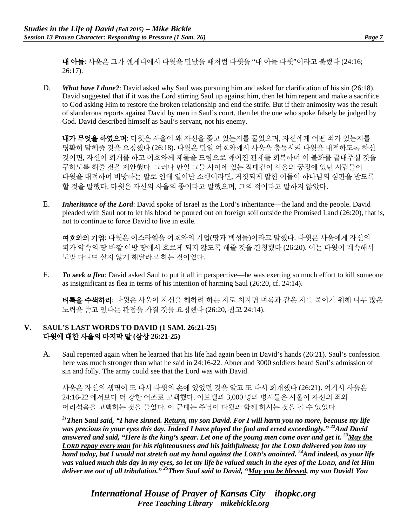내 아들: 사울은 그가 엔게디에서 다윗을 만났을 때처럼 다윗을 "내 아들 다윗"이라고 불렀다 (24:16; 26:17).

D. *What have I done?*: David asked why Saul was pursuing him and asked for clarification of his sin (26:18). David suggested that if it was the Lord stirring Saul up against him, then let him repent and make a sacrifice to God asking Him to restore the broken relationship and end the strife. But if their animosity was the result of slanderous reports against David by men in Saul's court, then let the one who spoke falsely be judged by God. David described himself as Saul's servant, not his enemy.

내가 무엇을 하였으며: 다윗은 사울이 왜 자신을 쫓고 있는지를 물었으며, 자신에게 어떤 죄가 있는지를 명확히 말해줄 것을 요청했다 (26:18). 다윗은 만일 여호와께서 사울을 충동시켜 다윗을 대적하도록 하신 것이면, 자신이 회개를 하고 여호와께 제물을 드림으로 깨어진 관계를 회복하며 이 불화를 끝내주실 것을 구하도록 해줄 것을 제안했다. 그러나 만일 그들 사이에 있는 적대감이 사울의 궁정에 있던 사람들이 다윗을 대적하며 비방하는 말로 인해 일어난 소행이라면, 거짓되게 말한 이들이 하나님의 심판을 받도록 할 것을 말했다. 다윗은 자신의 사울의 종이라고 말했으며, 그의 적이라고 말하지 않았다.

E. *Inheritance of the Lord*: David spoke of Israel as the Lord's inheritance—the land and the people. David pleaded with Saul not to let his blood be poured out on foreign soil outside the Promised Land (26:20), that is, not to continue to force David to live in exile.

여호와의 기업: 다윗은 이스라엘을 여호와의 기업(땅과 백성들)이라고 말했다. 다윗은 사울에게 자신의 피가 약속의 땅 바깥 이방 땅에서 흐르게 되지 않도록 해줄 것을 간청했다 (26:20). 이는 다윗이 계속해서 도망 다니며 살지 않게 해달라고 하는 것이었다.

F. *To seek a flea*: David asked Saul to put it all in perspective—he was exerting so much effort to kill someone as insignificant as flea in terms of his intention of harming Saul (26:20, cf. 24:14).

벼룩을 수색하러: 다윗은 사울이 자신을 해하려 하는 자로 치자면 벼룩과 같은 자를 죽이기 위해 너무 많은 노력을 쏟고 있다는 관점을 가질 것을 요청했다 (26:20, 참고 24:14).

## **V. SAUL'S LAST WORDS TO DAVID (1 SAM. 26:21-25)** 다윗에 대한 사울의 마지막 말 **(**삼상 **26:21-25)**

A. Saul repented again when he learned that his life had again been in David's hands (26:21). Saul's confession here was much stronger than what he said in 24:16-22. Abner and 3000 soldiers heard Saul's admission of sin and folly. The army could see that the Lord was with David.

사울은 자신의 생명이 또 다시 다윗의 손에 있었던 것을 알고 또 다시 회개했다 (26:21). 여기서 사울은 24:16-22 에서보다 더 강한 어조로 고백했다. 아브넬과 3,000 명의 병사들은 사울이 자신의 죄와 어리석음을 고백하는 것을 들었다. 이 군대는 주님이 다윗과 함께 하시는 것을 볼 수 있었다.

*21Then Saul said, "I have sinned. Return, my son David. For I will harm you no more, because my life was precious in your eyes this day. Indeed I have played the fool and erred exceedingly." 22And David answered and said, "Here is the king's spear. Let one of the young men come over and get it. 23May the LORD repay every man for his righteousness and his faithfulness; for the LORD delivered you into my hand today, but I would not stretch out my hand against the LORD's anointed. 24And indeed, as your life was valued much this day in my eyes, so let my life be valued much in the eyes of the LORD, and let Him deliver me out of all tribulation." 25Then Saul said to David, "May you be blessed, my son David! You*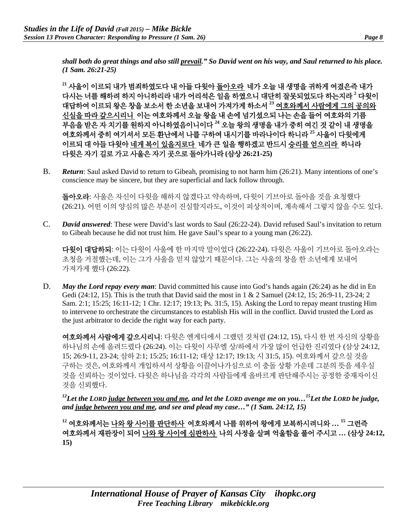*shall both do great things and also still prevail." So David went on his way, and Saul returned to his place. (1 Sam. 26:21-25)*

**<sup>21</sup>** 사울이 이르되 내가 범죄하였도다 내 아들 다윗아 돌아오라 네가 오늘 내 생명을 귀하게 여겼은즉 내가 다시는 너를 해하려 하지 아니하리라 내가 어리석은 일을 하였으니 대단히 잘못되었도다 하는지라 **<sup>2</sup>** 다윗이 대답하여 이르되 왕은 창을 보소서 한 소년을 보내어 가져가게 하소서 **<sup>23</sup>** 여호와께서 사람에게 그의 공의와 신실을 따라 갚으시리니 이는 여호와께서 오늘 왕을 내 손에 넘기셨으되 나는 손을 들어 여호와의 기름 부음을 받은 자 치기를 원하지 아니하였음이니이다 **<sup>24</sup>** 오늘 왕의 생명을 내가 중히 여긴 것 같이 내 생명을 여호와께서 중히 여기셔서 모든 환난에서 나를 구하여 내시기를 바라나이다 하니라 **<sup>25</sup>** 사울이 다윗에게 이르되 대 아들 다윗아 네게 복이 있을지로다 네가 큰 일을 행하겠고 반드시 승리를 얻으리라 하니라 다윗은 자기 길로 가고 사울은 자기 곳으로 돌아가니라 **(**삼상 **26:21-25)**

B. *Return*: Saul asked David to return to Gibeah, promising to not harm him (26:21). Many intentions of one's conscience may be sincere, but they are superficial and lack follow through.

돌아오라: 사울은 자신이 다윗을 해하지 않겠다고 약속하며, 다윗이 기브아로 돌아올 것을 요청했다 (26:21). 어떤 이의 양심의 많은 부분이 진실할지라도, 이것이 피상적이며, 계속해서 그렇지 않을 수도 있다.

C. *David answered*: These were David's last words to Saul (26:22-24). David refused Saul's invitation to return to Gibeah because he did not trust him. He gave Saul's spear to a young man (26:22).

다윗이 대답하되: 이는 다윗이 사울에 한 마지막 말이었다 (26:22-24). 다윗은 사울이 기브아로 돌아오라는 초청을 거절했는데, 이는 그가 사울을 믿지 않았기 때문이다. 그는 사울의 창을 한 소년에게 보내어 가져가게 했다 (26:22).

D. *May the Lord repay every man*: David committed his cause into God's hands again (26:24) as he did in En Gedi (24:12, 15). This is the truth that David said the most in 1 & 2 Samuel (24:12, 15; 26:9-11, 23-24; 2 Sam. 2:1; 15:25; 16:11-12; 1 Chr. 12:17; 19:13; Ps. 31:5, 15). Asking the Lord to repay meant trusting Him to intervene to orchestrate the circumstances to establish His will in the conflict. David trusted the Lord as the just arbitrator to decide the right way for each party.

여호와께서 사람에게 갚으시리니: 다윗은 엔게디에서 그랬던 것처럼 (24:12, 15), 다시 한 번 자신의 상황을 하나님의 손에 올려드렸다 (26:24). 이는 다윗이 사무엘 상/하에서 가장 많이 언급한 진리였다 (삼상 24:12, 15; 26:9-11, 23-24; 삼하 2:1; 15:25; 16:11-12; 대상 12:17; 19:13; 시 31:5, 15). 여호와께서 갚으실 것을 구하는 것은, 여호와께서 개입하셔서 상황을 이끌어나가심으로 이 충돌 상황 가운데 그분의 뜻을 세우실 것을 신뢰하는 것이었다. 다윗은 하나님을 각각의 사람들에게 올바르게 판단해주시는 공정한 중재자이신 것을 신뢰했다.

*12Let the LORD judge between you and me, and let the LORD avenge me on you…15Let the LORD be judge, and judge between you and me, and see and plead my case…" (1 Sam. 24:12, 15)* 

**<sup>12</sup>** 여호와께서는 나와 왕 사이를 판단하사 여호와께서 나를 위하여 왕에게 보복하시려니와 **… 15** 그런즉 여호와께서 재판장이 되어 나와 왕 사이에 심판하사 나의 사정을 살펴 억울함을 풀어 주시고 **… (**삼상 **24:12, 15)**